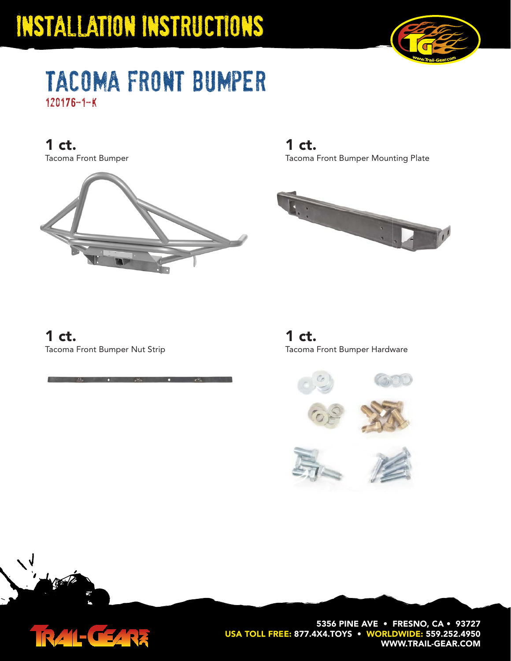

### tacoma front bumper 120176-1-k

Tacoma Front Bumper **1 ct.**



Tacoma Front Bumper Mounting Plate **1 ct.**



Tacoma Front Bumper Nut Strip **1 ct.**

TRAIL-CEARE

Tacoma Front Bumper Hardware **1 ct.**





**5356 PINE AVE • FRESNO, CA • 93727 USA TOLL FREE: 877.4X4.TOYS • WORLDWIDE: 559.252.4950 WWW.TRAIL-GEAR.COM**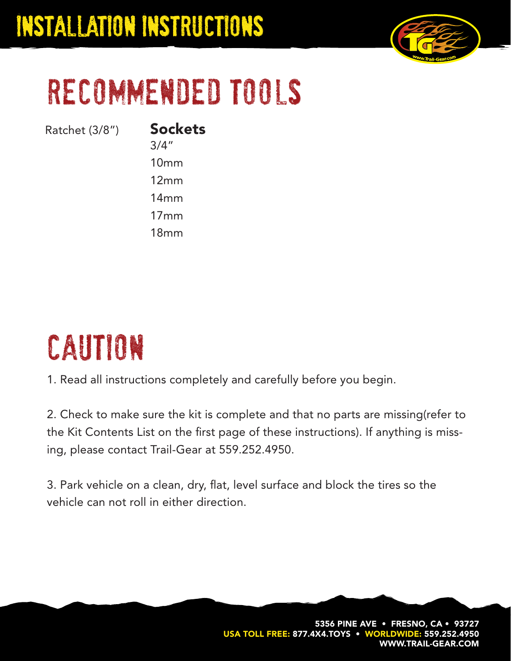

# recommended tools

Ratchet (3/8") **Sockets**

3/4"

10mm

12mm

14mm

17mm 18mm

# caution

1. Read all instructions completely and carefully before you begin.

2. Check to make sure the kit is complete and that no parts are missing(refer to the Kit Contents List on the first page of these instructions). If anything is missing, please contact Trail-Gear at 559.252.4950.

3. Park vehicle on a clean, dry, flat, level surface and block the tires so the vehicle can not roll in either direction.

> **5356 PINE AVE • FRESNO, CA • 93727** USA TOLL FREE: 877.4X4.TOYS • WORLDWIDE: 559.252.4 **WWW.TRAIL-GEAR.COM**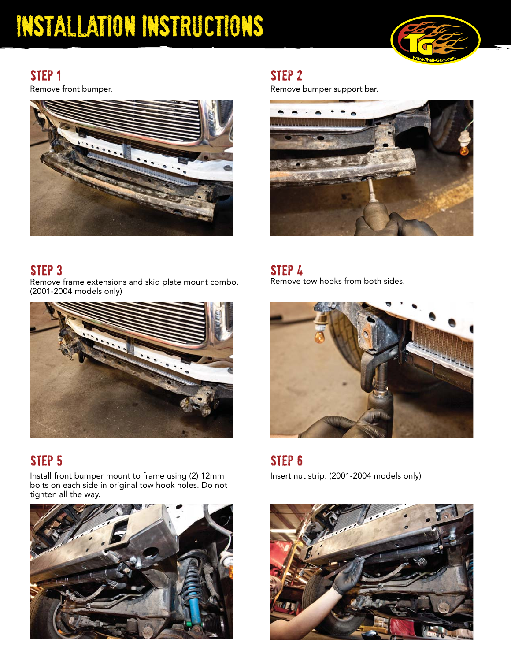

#### STEP<sub>1</sub>

Remove front bumper.



step 2

Remove bumper support bar.



#### step 3 step 4 step 4 step 4 step 4 step 4 step 4 step 4 step 4 step 4 step 4 step 4 step 4 step 4 step 4 step 4 step 4 step 4 step 4 step 4 step 4 step 4 step 4 step 4 step 4 step 4 step 4 step 4 step 4 step 4 step 4 step

Remove frame extensions and skid plate mount combo. (2001-2004 models only)



#### step 5 step 6 step 6 step 6 step 6 step 6 step 6 step 6 step 6 step 6 step 6 step 6 step 6 step 6 step 6 step 6 step 6 step 6 step 6 step 6 step 6 step 6 step 6 step 6 step 6 step 6 step 6 step 6 step 6 step 6 step 6 step

Install front bumper mount to frame using (2) 12mm bolts on each side in original tow hook holes. Do not tighten all the way.



Remove tow hooks from both sides.



Insert nut strip. (2001-2004 models only)